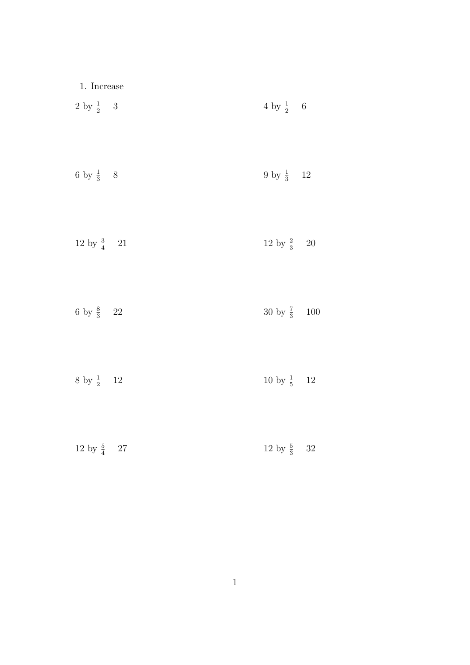| $1.$ Increase $\,$     |                         |  |
|------------------------|-------------------------|--|
| 2 by $\frac{1}{2}$ 3   | 4 by $\frac{1}{2}$ 6    |  |
| 6 by $\frac{1}{3}$ 8   | 9 by $\frac{1}{3}$ 12   |  |
| 12 by $\frac{3}{4}$ 21 | 12 by $\frac{2}{3}$ 20  |  |
| 6 by $\frac{8}{3}$ 22  | 30 by $\frac{7}{3}$ 100 |  |
| 8 by $\frac{1}{2}$ 12  | 10 by $\frac{1}{5}$ 12  |  |
| 12 by $\frac{5}{4}$ 27 | 12 by $\frac{5}{3}$ 32  |  |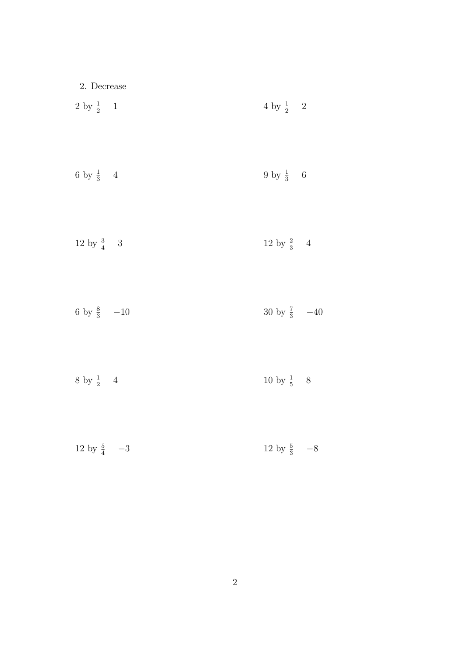| $2.$ Decrease          |                         |  |
|------------------------|-------------------------|--|
| 2 by $\frac{1}{2}$ 1   | 4 by $\frac{1}{2}$ 2    |  |
| 6 by $\frac{1}{3}$ 4   | 9 by $\frac{1}{3}$ 6    |  |
| 12 by $\frac{3}{4}$ 3  | 12 by $\frac{2}{3}$ 4   |  |
| 6 by $\frac{8}{3}$ -10 | 30 by $\frac{7}{3}$ -40 |  |
| 8 by $\frac{1}{2}$ 4   | 10 by $\frac{1}{5}$ 8   |  |
| 12 by $\frac{5}{4}$ -3 | 12 by $\frac{5}{3}$ -8  |  |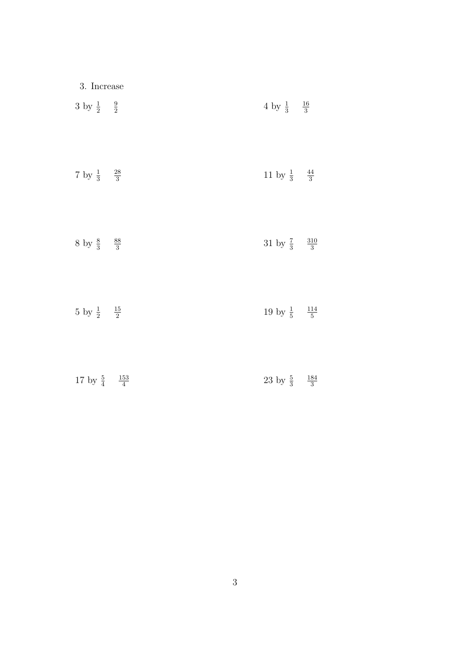| 3. Increase                       |                                     |  |
|-----------------------------------|-------------------------------------|--|
| 3 by $\frac{1}{2}$ $\frac{9}{2}$  | 4 by $\frac{1}{3}$ $\frac{16}{3}$   |  |
| 7 by $\frac{1}{3}$ $\frac{28}{3}$ | 11 by $\frac{1}{3}$ $\frac{44}{3}$  |  |
| 8 by $\frac{8}{3}$ $\frac{88}{3}$ | 31 by $\frac{7}{3}$ $\frac{310}{3}$ |  |
| 5 by $\frac{1}{2}$ $\frac{15}{2}$ | 19 by $\frac{1}{5}$ $\frac{114}{5}$ |  |
|                                   |                                     |  |

17 by  $\frac{5}{4}$ 

 

 $23 \text{ by } \frac{5}{3}$